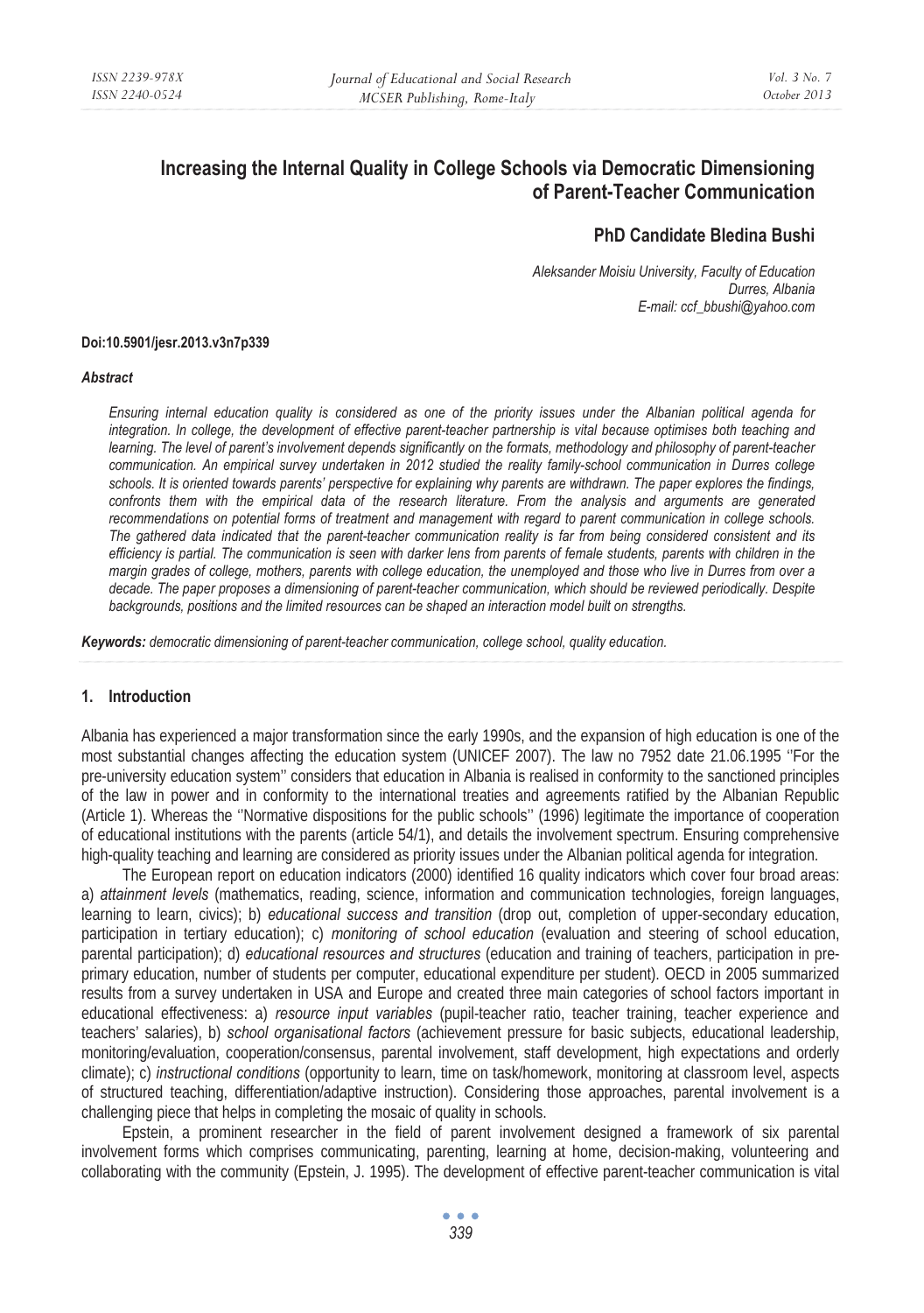# **Increasing the Internal Quality in College Schools via Democratic Dimensioning of Parent-Teacher Communication**

# **PhD Candidate Bledina Bushi**

*Aleksander Moisiu University, Faculty of Education Durres, Albania E-mail: ccf\_bbushi@yahoo.com* 

#### **Doi:10.5901/jesr.2013.v3n7p339**

#### *Abstract*

*Ensuring internal education quality is considered as one of the priority issues under the Albanian political agenda for integration. In college, the development of effective parent-teacher partnership is vital because optimises both teaching and learning. The level of parent's involvement depends significantly on the formats, methodology and philosophy of parent-teacher communication. An empirical survey undertaken in 2012 studied the reality family-school communication in Durres college schools. It is oriented towards parents' perspective for explaining why parents are withdrawn. The paper explores the findings, confronts them with the empirical data of the research literature. From the analysis and arguments are generated recommendations on potential forms of treatment and management with regard to parent communication in college schools. The gathered data indicated that the parent-teacher communication reality is far from being considered consistent and its efficiency is partial. The communication is seen with darker lens from parents of female students, parents with children in the margin grades of college, mothers, parents with college education, the unemployed and those who live in Durres from over a decade. The paper proposes a dimensioning of parent-teacher communication, which should be reviewed periodically. Despite backgrounds, positions and the limited resources can be shaped an interaction model built on strengths.* 

*Keywords: democratic dimensioning of parent-teacher communication, college school, quality education.* 

# **1. Introduction**

Albania has experienced a major transformation since the early 1990s, and the expansion of high education is one of the most substantial changes affecting the education system (UNICEF 2007). The law no 7952 date 21.06.1995 ''For the pre-university education system'' considers that education in Albania is realised in conformity to the sanctioned principles of the law in power and in conformity to the international treaties and agreements ratified by the Albanian Republic (Article 1). Whereas the ''Normative dispositions for the public schools'' (1996) legitimate the importance of cooperation of educational institutions with the parents (article 54/1), and details the involvement spectrum. Ensuring comprehensive high-quality teaching and learning are considered as priority issues under the Albanian political agenda for integration.

The European report on education indicators (2000) identified 16 quality indicators which cover four broad areas: a) *attainment levels* (mathematics, reading, science, information and communication technologies, foreign languages, learning to learn, civics); b) *educational success and transition* (drop out, completion of upper-secondary education, participation in tertiary education); c) *monitoring of school education* (evaluation and steering of school education, parental participation); d) *educational resources and structures* (education and training of teachers, participation in preprimary education, number of students per computer, educational expenditure per student). OECD in 2005 summarized results from a survey undertaken in USA and Europe and created three main categories of school factors important in educational effectiveness: a) *resource input variables* (pupil-teacher ratio, teacher training, teacher experience and teachers' salaries), b) *school organisational factors* (achievement pressure for basic subjects, educational leadership, monitoring/evaluation, cooperation/consensus, parental involvement, staff development, high expectations and orderly climate); c) *instructional conditions* (opportunity to learn, time on task/homework, monitoring at classroom level, aspects of structured teaching, differentiation/adaptive instruction). Considering those approaches, parental involvement is a challenging piece that helps in completing the mosaic of quality in schools.

Epstein, a prominent researcher in the field of parent involvement designed a framework of six parental involvement forms which comprises communicating, parenting, learning at home, decision-making, volunteering and collaborating with the community (Epstein, J. 1995). The development of effective parent-teacher communication is vital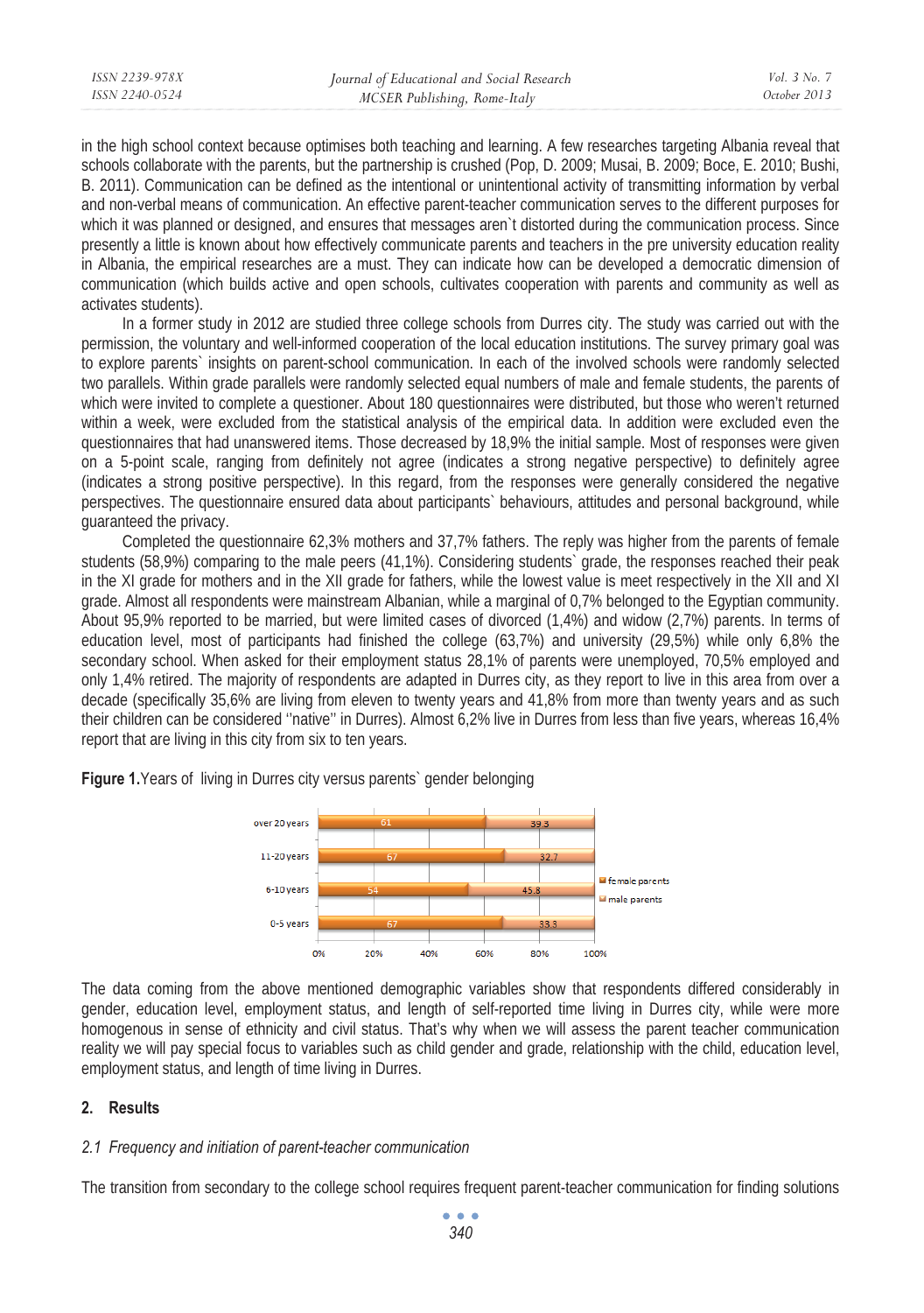| ISSN 2239-978X | Journal of Educational and Social Research | Vol. 3 No. 7 |
|----------------|--------------------------------------------|--------------|
| ISSN 2240-0524 | MCSER Publishing, Rome-Italy               | October 2013 |
|                |                                            |              |

in the high school context because optimises both teaching and learning. A few researches targeting Albania reveal that schools collaborate with the parents, but the partnership is crushed (Pop, D. 2009; Musai, B. 2009; Boce, E. 2010; Bushi, B. 2011). Communication can be defined as the intentional or unintentional activity of transmitting information by verbal and non-verbal means of communication. An effective parent-teacher communication serves to the different purposes for which it was planned or designed, and ensures that messages aren't distorted during the communication process. Since presently a little is known about how effectively communicate parents and teachers in the pre university education reality in Albania, the empirical researches are a must. They can indicate how can be developed a democratic dimension of communication (which builds active and open schools, cultivates cooperation with parents and community as well as activates students).

In a former study in 2012 are studied three college schools from Durres city. The study was carried out with the permission, the voluntary and well-informed cooperation of the local education institutions. The survey primary goal was to explore parents` insights on parent-school communication. In each of the involved schools were randomly selected two parallels. Within grade parallels were randomly selected equal numbers of male and female students, the parents of which were invited to complete a questioner. About 180 questionnaires were distributed, but those who weren't returned within a week, were excluded from the statistical analysis of the empirical data. In addition were excluded even the questionnaires that had unanswered items. Those decreased by 18,9% the initial sample. Most of responses were given on a 5-point scale, ranging from definitely not agree (indicates a strong negative perspective) to definitely agree (indicates a strong positive perspective). In this regard, from the responses were generally considered the negative perspectives. The questionnaire ensured data about participants` behaviours, attitudes and personal background, while guaranteed the privacy.

Completed the questionnaire 62,3% mothers and 37,7% fathers. The reply was higher from the parents of female students (58,9%) comparing to the male peers (41,1%). Considering students` grade, the responses reached their peak in the XI grade for mothers and in the XII grade for fathers, while the lowest value is meet respectively in the XII and XI grade. Almost all respondents were mainstream Albanian, while a marginal of 0,7% belonged to the Egyptian community. About 95,9% reported to be married, but were limited cases of divorced (1,4%) and widow (2,7%) parents. In terms of education level, most of participants had finished the college (63,7%) and university (29,5%) while only 6,8% the secondary school. When asked for their employment status 28,1% of parents were unemployed, 70,5% employed and only 1,4% retired. The majority of respondents are adapted in Durres city, as they report to live in this area from over a decade (specifically 35,6% are living from eleven to twenty years and 41,8% from more than twenty years and as such their children can be considered ''native'' in Durres). Almost 6,2% live in Durres from less than five years, whereas 16,4% report that are living in this city from six to ten years.

**Figure 1.** Years of living in Durres city versus parents` gender belonging



The data coming from the above mentioned demographic variables show that respondents differed considerably in gender, education level, employment status, and length of self-reported time living in Durres city, while were more homogenous in sense of ethnicity and civil status. That's why when we will assess the parent teacher communication reality we will pay special focus to variables such as child gender and grade, relationship with the child, education level, employment status, and length of time living in Durres.

# **2. Results**

# *2.1 Frequency and initiation of parent-teacher communication*

The transition from secondary to the college school requires frequent parent-teacher communication for finding solutions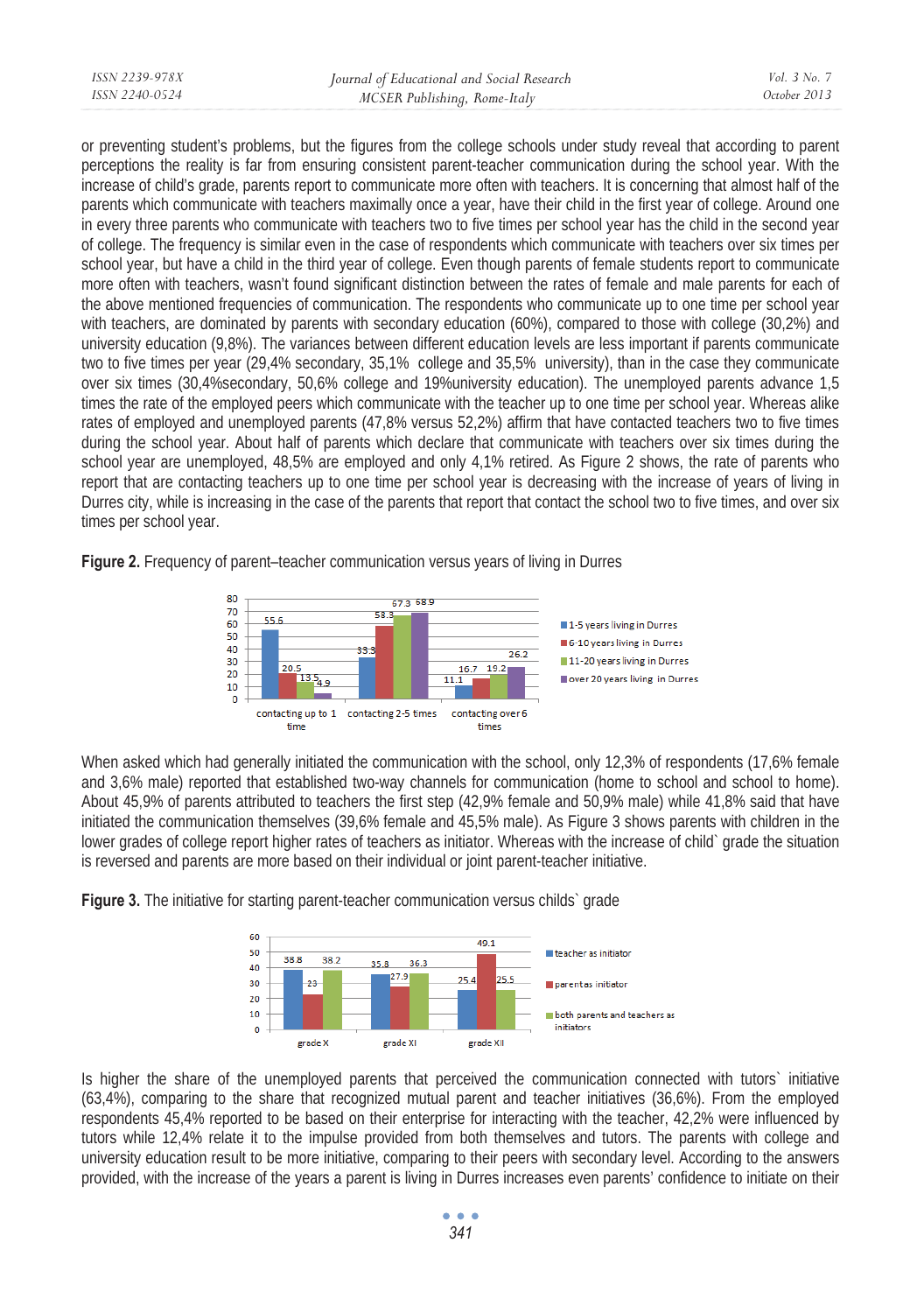| ISSN 2239-978X | Journal of Educational and Social Research | Vol. 3 No. 7 |
|----------------|--------------------------------------------|--------------|
| ISSN 2240-0524 | MCSER Publishing, Rome-Italy               | October 2013 |
|                |                                            |              |

or preventing student's problems, but the figures from the college schools under study reveal that according to parent perceptions the reality is far from ensuring consistent parent-teacher communication during the school year. With the increase of child's grade, parents report to communicate more often with teachers. It is concerning that almost half of the parents which communicate with teachers maximally once a year, have their child in the first year of college. Around one in every three parents who communicate with teachers two to five times per school year has the child in the second year of college. The frequency is similar even in the case of respondents which communicate with teachers over six times per school year, but have a child in the third year of college. Even though parents of female students report to communicate more often with teachers, wasn't found significant distinction between the rates of female and male parents for each of the above mentioned frequencies of communication. The respondents who communicate up to one time per school year with teachers, are dominated by parents with secondary education (60%), compared to those with college (30,2%) and university education (9,8%). The variances between different education levels are less important if parents communicate two to five times per year (29,4% secondary, 35,1% college and 35,5% university), than in the case they communicate over six times (30,4%secondary, 50,6% college and 19%university education). The unemployed parents advance 1,5 times the rate of the employed peers which communicate with the teacher up to one time per school year. Whereas alike rates of employed and unemployed parents (47,8% versus 52,2%) affirm that have contacted teachers two to five times during the school year. About half of parents which declare that communicate with teachers over six times during the school year are unemployed, 48,5% are employed and only 4,1% retired. As Figure 2 shows, the rate of parents who report that are contacting teachers up to one time per school year is decreasing with the increase of years of living in Durres city, while is increasing in the case of the parents that report that contact the school two to five times, and over six times per school year.

**Figure 2.** Frequency of parent–teacher communication versus years of living in Durres



When asked which had generally initiated the communication with the school, only 12,3% of respondents (17,6% female and 3,6% male) reported that established two-way channels for communication (home to school and school to home). About 45,9% of parents attributed to teachers the first step (42,9% female and 50,9% male) while 41,8% said that have initiated the communication themselves (39,6% female and 45,5% male). As Figure 3 shows parents with children in the lower grades of college report higher rates of teachers as initiator. Whereas with the increase of child` grade the situation is reversed and parents are more based on their individual or joint parent-teacher initiative.

**Figure 3.** The initiative for starting parent-teacher communication versus childs grade



Is higher the share of the unemployed parents that perceived the communication connected with tutors` initiative (63,4%), comparing to the share that recognized mutual parent and teacher initiatives (36,6%). From the employed respondents 45,4% reported to be based on their enterprise for interacting with the teacher, 42,2% were influenced by tutors while 12,4% relate it to the impulse provided from both themselves and tutors. The parents with college and university education result to be more initiative, comparing to their peers with secondary level. According to the answers provided, with the increase of the years a parent is living in Durres increases even parents' confidence to initiate on their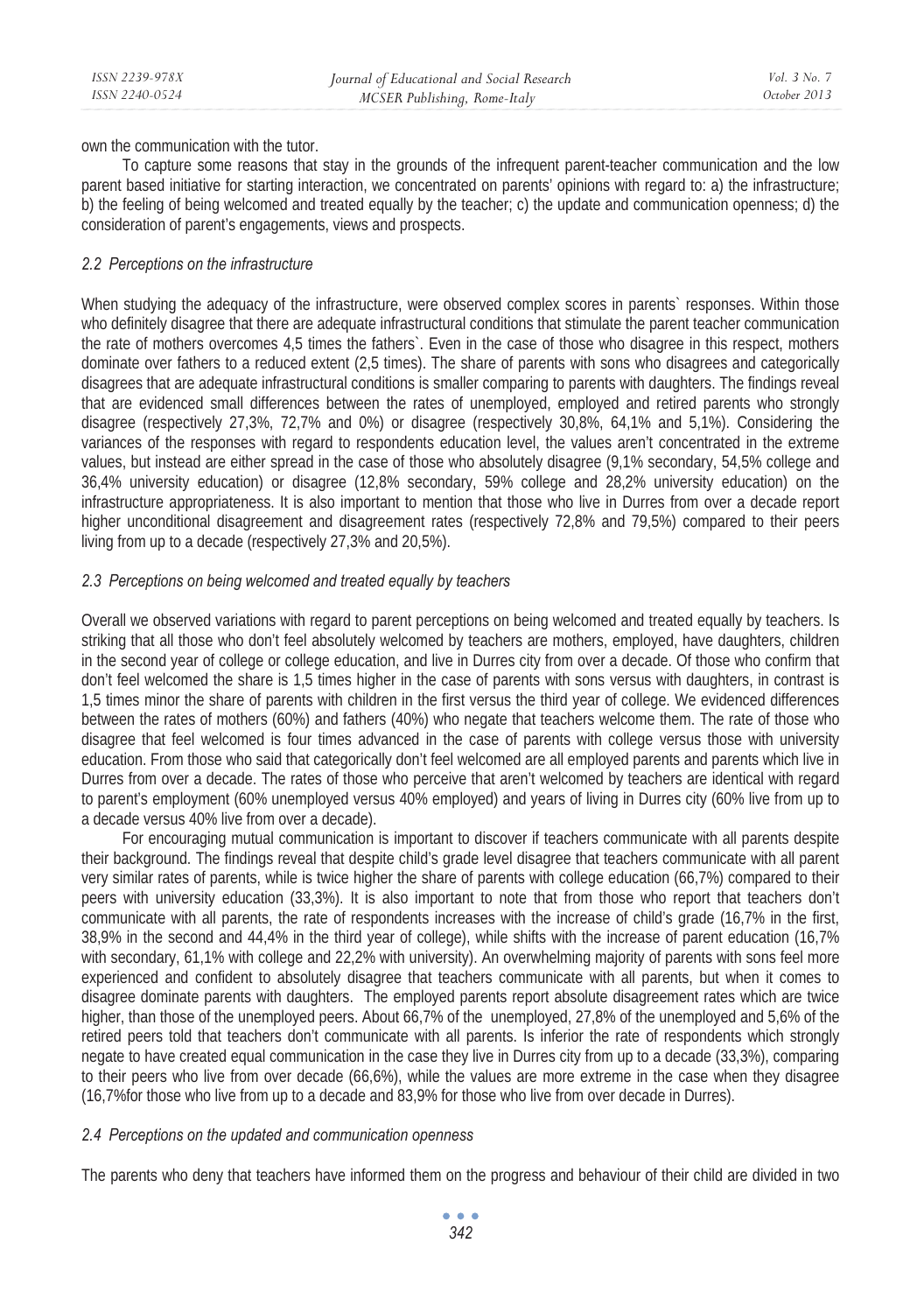own the communication with the tutor.

To capture some reasons that stay in the grounds of the infrequent parent-teacher communication and the low parent based initiative for starting interaction, we concentrated on parents' opinions with regard to: a) the infrastructure; b) the feeling of being welcomed and treated equally by the teacher; c) the update and communication openness; d) the consideration of parent's engagements, views and prospects.

# *2.2 Perceptions on the infrastructure*

When studying the adequacy of the infrastructure, were observed complex scores in parents` responses. Within those who definitely disagree that there are adequate infrastructural conditions that stimulate the parent teacher communication the rate of mothers overcomes 4,5 times the fathers`. Even in the case of those who disagree in this respect, mothers dominate over fathers to a reduced extent (2,5 times). The share of parents with sons who disagrees and categorically disagrees that are adequate infrastructural conditions is smaller comparing to parents with daughters. The findings reveal that are evidenced small differences between the rates of unemployed, employed and retired parents who strongly disagree (respectively 27,3%, 72,7% and 0%) or disagree (respectively 30,8%, 64,1% and 5,1%). Considering the variances of the responses with regard to respondents education level, the values aren't concentrated in the extreme values, but instead are either spread in the case of those who absolutely disagree (9,1% secondary, 54,5% college and 36,4% university education) or disagree (12,8% secondary, 59% college and 28,2% university education) on the infrastructure appropriateness. It is also important to mention that those who live in Durres from over a decade report higher unconditional disagreement and disagreement rates (respectively 72,8% and 79,5%) compared to their peers living from up to a decade (respectively 27,3% and 20,5%).

# *2.3 Perceptions on being welcomed and treated equally by teachers*

Overall we observed variations with regard to parent perceptions on being welcomed and treated equally by teachers. Is striking that all those who don't feel absolutely welcomed by teachers are mothers, employed, have daughters, children in the second year of college or college education, and live in Durres city from over a decade. Of those who confirm that don't feel welcomed the share is 1,5 times higher in the case of parents with sons versus with daughters, in contrast is 1,5 times minor the share of parents with children in the first versus the third year of college. We evidenced differences between the rates of mothers (60%) and fathers (40%) who negate that teachers welcome them. The rate of those who disagree that feel welcomed is four times advanced in the case of parents with college versus those with university education. From those who said that categorically don't feel welcomed are all employed parents and parents which live in Durres from over a decade. The rates of those who perceive that aren't welcomed by teachers are identical with regard to parent's employment (60% unemployed versus 40% employed) and years of living in Durres city (60% live from up to a decade versus 40% live from over a decade).

For encouraging mutual communication is important to discover if teachers communicate with all parents despite their background. The findings reveal that despite child's grade level disagree that teachers communicate with all parent very similar rates of parents, while is twice higher the share of parents with college education (66,7%) compared to their peers with university education (33,3%). It is also important to note that from those who report that teachers don't communicate with all parents, the rate of respondents increases with the increase of child's grade (16,7% in the first, 38,9% in the second and 44,4% in the third year of college), while shifts with the increase of parent education (16,7% with secondary, 61,1% with college and 22,2% with university). An overwhelming majority of parents with sons feel more experienced and confident to absolutely disagree that teachers communicate with all parents, but when it comes to disagree dominate parents with daughters. The employed parents report absolute disagreement rates which are twice higher, than those of the unemployed peers. About 66,7% of the unemployed, 27,8% of the unemployed and 5,6% of the retired peers told that teachers don't communicate with all parents. Is inferior the rate of respondents which strongly negate to have created equal communication in the case they live in Durres city from up to a decade (33,3%), comparing to their peers who live from over decade (66,6%), while the values are more extreme in the case when they disagree (16,7%for those who live from up to a decade and 83,9% for those who live from over decade in Durres).

### *2.4 Perceptions on the updated and communication openness*

The parents who deny that teachers have informed them on the progress and behaviour of their child are divided in two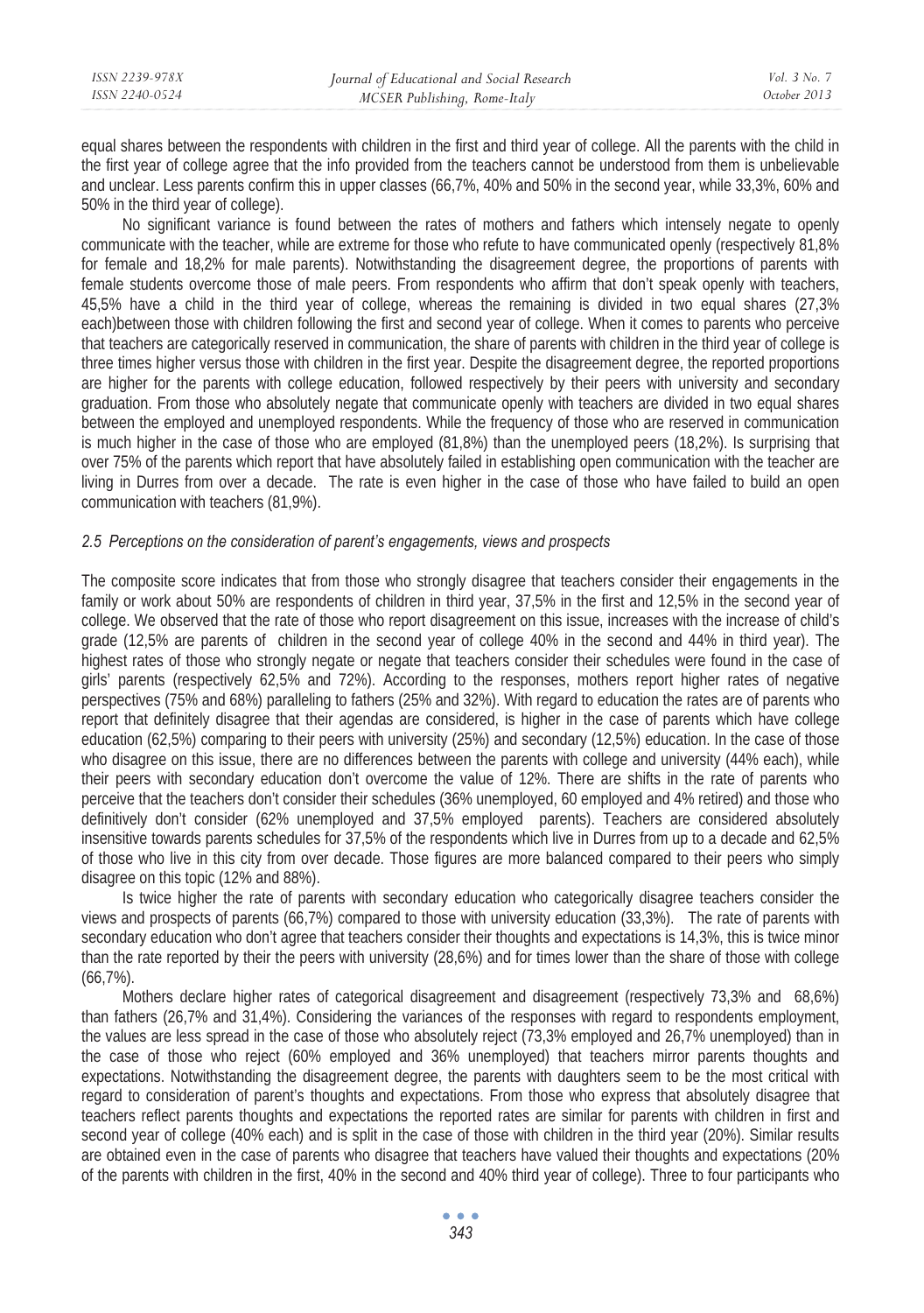| ISSN 2239-978X | Journal of Educational and Social Research | Vol. 3 No. 7 |
|----------------|--------------------------------------------|--------------|
| ISSN 2240-0524 | MCSER Publishing, Rome-Italy               | October 2013 |
|                |                                            |              |

equal shares between the respondents with children in the first and third year of college. All the parents with the child in the first year of college agree that the info provided from the teachers cannot be understood from them is unbelievable and unclear. Less parents confirm this in upper classes (66,7%, 40% and 50% in the second year, while 33,3%, 60% and 50% in the third year of college).

No significant variance is found between the rates of mothers and fathers which intensely negate to openly communicate with the teacher, while are extreme for those who refute to have communicated openly (respectively 81,8% for female and 18,2% for male parents). Notwithstanding the disagreement degree, the proportions of parents with female students overcome those of male peers. From respondents who affirm that don't speak openly with teachers, 45,5% have a child in the third year of college, whereas the remaining is divided in two equal shares (27,3% each)between those with children following the first and second year of college. When it comes to parents who perceive that teachers are categorically reserved in communication, the share of parents with children in the third year of college is three times higher versus those with children in the first year. Despite the disagreement degree, the reported proportions are higher for the parents with college education, followed respectively by their peers with university and secondary graduation. From those who absolutely negate that communicate openly with teachers are divided in two equal shares between the employed and unemployed respondents. While the frequency of those who are reserved in communication is much higher in the case of those who are employed (81,8%) than the unemployed peers (18,2%). Is surprising that over 75% of the parents which report that have absolutely failed in establishing open communication with the teacher are living in Durres from over a decade. The rate is even higher in the case of those who have failed to build an open communication with teachers (81,9%).

### *2.5 Perceptions on the consideration of parent's engagements, views and prospects*

The composite score indicates that from those who strongly disagree that teachers consider their engagements in the family or work about 50% are respondents of children in third year, 37,5% in the first and 12,5% in the second year of college. We observed that the rate of those who report disagreement on this issue, increases with the increase of child's grade (12,5% are parents of children in the second year of college 40% in the second and 44% in third year). The highest rates of those who strongly negate or negate that teachers consider their schedules were found in the case of girls' parents (respectively 62,5% and 72%). According to the responses, mothers report higher rates of negative perspectives (75% and 68%) paralleling to fathers (25% and 32%). With regard to education the rates are of parents who report that definitely disagree that their agendas are considered, is higher in the case of parents which have college education (62,5%) comparing to their peers with university (25%) and secondary (12,5%) education. In the case of those who disagree on this issue, there are no differences between the parents with college and university (44% each), while their peers with secondary education don't overcome the value of 12%. There are shifts in the rate of parents who perceive that the teachers don't consider their schedules (36% unemployed, 60 employed and 4% retired) and those who definitively don't consider (62% unemployed and 37,5% employed parents). Teachers are considered absolutely insensitive towards parents schedules for 37,5% of the respondents which live in Durres from up to a decade and 62,5% of those who live in this city from over decade. Those figures are more balanced compared to their peers who simply disagree on this topic (12% and 88%).

Is twice higher the rate of parents with secondary education who categorically disagree teachers consider the views and prospects of parents (66,7%) compared to those with university education (33,3%). The rate of parents with secondary education who don't agree that teachers consider their thoughts and expectations is 14,3%, this is twice minor than the rate reported by their the peers with university (28,6%) and for times lower than the share of those with college (66,7%).

Mothers declare higher rates of categorical disagreement and disagreement (respectively 73,3% and 68,6%) than fathers (26,7% and 31,4%). Considering the variances of the responses with regard to respondents employment, the values are less spread in the case of those who absolutely reject (73,3% employed and 26,7% unemployed) than in the case of those who reject (60% employed and 36% unemployed) that teachers mirror parents thoughts and expectations. Notwithstanding the disagreement degree, the parents with daughters seem to be the most critical with regard to consideration of parent's thoughts and expectations. From those who express that absolutely disagree that teachers reflect parents thoughts and expectations the reported rates are similar for parents with children in first and second year of college (40% each) and is split in the case of those with children in the third year (20%). Similar results are obtained even in the case of parents who disagree that teachers have valued their thoughts and expectations (20% of the parents with children in the first, 40% in the second and 40% third year of college). Three to four participants who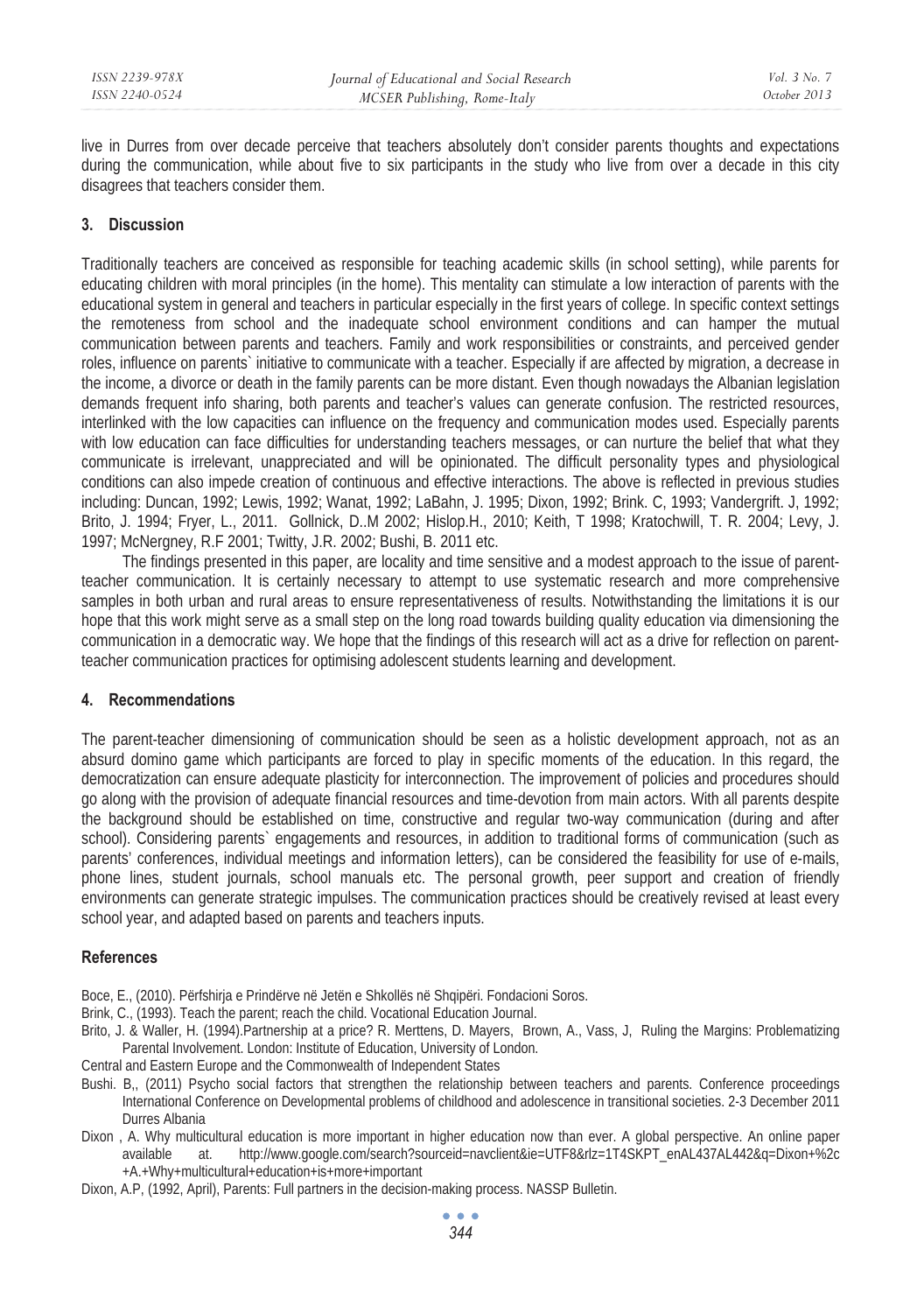live in Durres from over decade perceive that teachers absolutely don't consider parents thoughts and expectations during the communication, while about five to six participants in the study who live from over a decade in this city disagrees that teachers consider them.

# **3. Discussion**

Traditionally teachers are conceived as responsible for teaching academic skills (in school setting), while parents for educating children with moral principles (in the home). This mentality can stimulate a low interaction of parents with the educational system in general and teachers in particular especially in the first years of college. In specific context settings the remoteness from school and the inadequate school environment conditions and can hamper the mutual communication between parents and teachers. Family and work responsibilities or constraints, and perceived gender roles, influence on parents` initiative to communicate with a teacher. Especially if are affected by migration, a decrease in the income, a divorce or death in the family parents can be more distant. Even though nowadays the Albanian legislation demands frequent info sharing, both parents and teacher's values can generate confusion. The restricted resources, interlinked with the low capacities can influence on the frequency and communication modes used. Especially parents with low education can face difficulties for understanding teachers messages, or can nurture the belief that what they communicate is irrelevant, unappreciated and will be opinionated. The difficult personality types and physiological conditions can also impede creation of continuous and effective interactions. The above is reflected in previous studies including: Duncan, 1992; Lewis, 1992; Wanat, 1992; LaBahn, J. 1995; Dixon, 1992; Brink. C, 1993; Vandergrift. J, 1992; Brito, J. 1994; Fryer, L., 2011. Gollnick, D..M 2002; Hislop.H., 2010; Keith, T 1998; Kratochwill, T. R. 2004; Levy, J. 1997; McNergney, R.F 2001; Twitty, J.R. 2002; Bushi, B. 2011 etc.

The findings presented in this paper, are locality and time sensitive and a modest approach to the issue of parentteacher communication. It is certainly necessary to attempt to use systematic research and more comprehensive samples in both urban and rural areas to ensure representativeness of results. Notwithstanding the limitations it is our hope that this work might serve as a small step on the long road towards building quality education via dimensioning the communication in a democratic way. We hope that the findings of this research will act as a drive for reflection on parentteacher communication practices for optimising adolescent students learning and development.

### **4. Recommendations**

The parent-teacher dimensioning of communication should be seen as a holistic development approach, not as an absurd domino game which participants are forced to play in specific moments of the education. In this regard, the democratization can ensure adequate plasticity for interconnection. The improvement of policies and procedures should go along with the provision of adequate financial resources and time-devotion from main actors. With all parents despite the background should be established on time, constructive and regular two-way communication (during and after school). Considering parents` engagements and resources, in addition to traditional forms of communication (such as parents' conferences, individual meetings and information letters), can be considered the feasibility for use of e-mails, phone lines, student journals, school manuals etc. The personal growth, peer support and creation of friendly environments can generate strategic impulses. The communication practices should be creatively revised at least every school year, and adapted based on parents and teachers inputs.

### **References**

- Boce, E., (2010). Përfshirja e Prindërve në Jetën e Shkollës në Shqipëri. Fondacioni Soros.
- Brink, C., (1993). Teach the parent; reach the child. Vocational Education Journal.
- Brito, J. & Waller, H. (1994).Partnership at a price? R. Merttens, D. Mayers, Brown, A., Vass, J, Ruling the Margins: Problematizing Parental Involvement. London: Institute of Education, University of London.
- Central and Eastern Europe and the Commonwealth of Independent States
- Bushi. B,, (2011) Psycho social factors that strengthen the relationship between teachers and parents. Conference proceedings International Conference on Developmental problems of childhood and adolescence in transitional societies. 2-3 December 2011 Durres Albania
- Dixon , A. Why multicultural education is more important in higher education now than ever. A global perspective. An online paper available at. http://www.google.com/search?sourceid=navclient&ie=UTF8&rlz=1T4SKPT\_enAL437AL442&q=Dixon+%2c +A.+Why+multicultural+education+is+more+important
- Dixon, A.P, (1992, April), Parents: Full partners in the decision-making process. NASSP Bulletin.